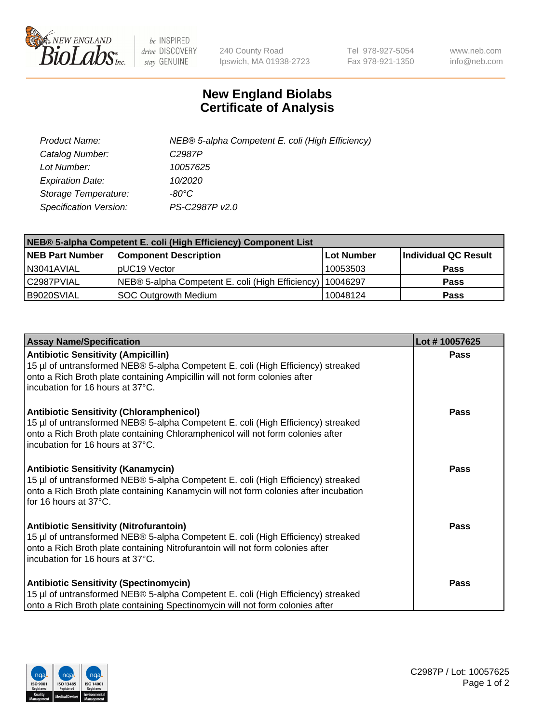

 $be$  INSPIRED drive DISCOVERY stay GENUINE

240 County Road Ipswich, MA 01938-2723 Tel 978-927-5054 Fax 978-921-1350 www.neb.com info@neb.com

## **New England Biolabs Certificate of Analysis**

| Product Name:                 | NEB® 5-alpha Competent E. coli (High Efficiency) |
|-------------------------------|--------------------------------------------------|
| Catalog Number:               | C <sub>2987</sub> P                              |
| Lot Number:                   | 10057625                                         |
| <b>Expiration Date:</b>       | 10/2020                                          |
| Storage Temperature:          | -80°C                                            |
| <b>Specification Version:</b> | PS-C2987P v2.0                                   |

| NEB® 5-alpha Competent E. coli (High Efficiency) Component List |                                                             |            |                      |  |
|-----------------------------------------------------------------|-------------------------------------------------------------|------------|----------------------|--|
| <b>NEB Part Number</b>                                          | <b>Component Description</b>                                | Lot Number | Individual QC Result |  |
| N3041AVIAL                                                      | pUC19 Vector                                                | 10053503   | <b>Pass</b>          |  |
| C2987PVIAL                                                      | NEB® 5-alpha Competent E. coli (High Efficiency)   10046297 |            | <b>Pass</b>          |  |
| B9020SVIAL                                                      | <b>SOC Outgrowth Medium</b>                                 | 10048124   | <b>Pass</b>          |  |

| <b>Assay Name/Specification</b>                                                                                                                                                                                                                            | Lot #10057625 |
|------------------------------------------------------------------------------------------------------------------------------------------------------------------------------------------------------------------------------------------------------------|---------------|
| <b>Antibiotic Sensitivity (Ampicillin)</b><br>15 µl of untransformed NEB® 5-alpha Competent E. coli (High Efficiency) streaked<br>onto a Rich Broth plate containing Ampicillin will not form colonies after<br>incubation for 16 hours at 37°C.           | <b>Pass</b>   |
| <b>Antibiotic Sensitivity (Chloramphenicol)</b><br>15 µl of untransformed NEB® 5-alpha Competent E. coli (High Efficiency) streaked<br>onto a Rich Broth plate containing Chloramphenicol will not form colonies after<br>incubation for 16 hours at 37°C. | Pass          |
| Antibiotic Sensitivity (Kanamycin)<br>15 µl of untransformed NEB® 5-alpha Competent E. coli (High Efficiency) streaked<br>onto a Rich Broth plate containing Kanamycin will not form colonies after incubation<br>for 16 hours at 37°C.                    | Pass          |
| <b>Antibiotic Sensitivity (Nitrofurantoin)</b><br>15 µl of untransformed NEB® 5-alpha Competent E. coli (High Efficiency) streaked<br>onto a Rich Broth plate containing Nitrofurantoin will not form colonies after<br>incubation for 16 hours at 37°C.   | <b>Pass</b>   |
| <b>Antibiotic Sensitivity (Spectinomycin)</b><br>15 µl of untransformed NEB® 5-alpha Competent E. coli (High Efficiency) streaked<br>onto a Rich Broth plate containing Spectinomycin will not form colonies after                                         | Pass          |